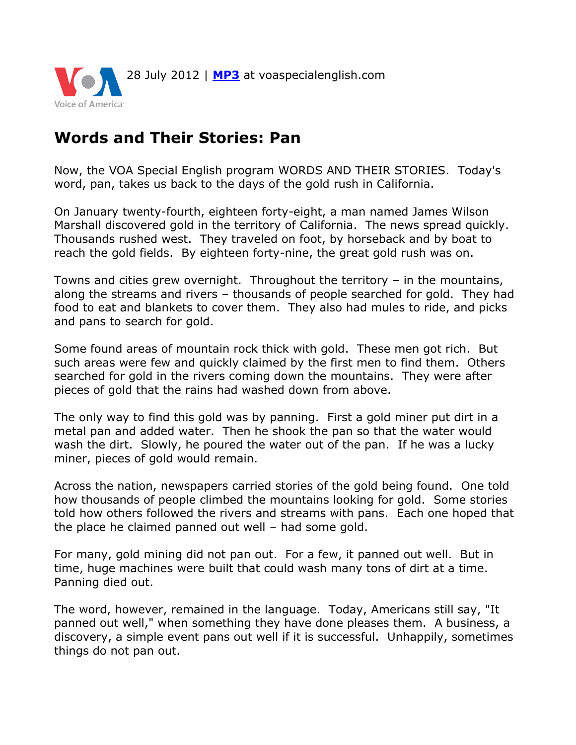

## **Words and Their Stories: Pan**

Now, the VOA Special English program WORDS AND THEIR STORIES. Today's word, pan, takes us back to the days of the gold rush in California.

On January twenty-fourth, eighteen forty-eight, a man named James Wilson Marshall discovered gold in the territory of California. The news spread quickly. Thousands rushed west. They traveled on foot, by horseback and by boat to reach the gold fields. By eighteen forty-nine, the great gold rush was on.

Towns and cities grew overnight. Throughout the territory – in the mountains, along the streams and rivers – thousands of people searched for gold. They had food to eat and blankets to cover them. They also had mules to ride, and picks and pans to search for gold.

Some found areas of mountain rock thick with gold. These men got rich. But such areas were few and quickly claimed by the first men to find them. Others searched for gold in the rivers coming down the mountains. They were after pieces of gold that the rains had washed down from above.

The only way to find this gold was by panning. First a gold miner put dirt in a metal pan and added water. Then he shook the pan so that the water would wash the dirt. Slowly, he poured the water out of the pan. If he was a lucky miner, pieces of gold would remain.

Across the nation, newspapers carried stories of the gold being found. One told how thousands of people climbed the mountains looking for gold. Some stories told how others followed the rivers and streams with pans. Each one hoped that the place he claimed panned out well – had some gold.

For many, gold mining did not pan out. For a few, it panned out well. But in time, huge machines were built that could wash many tons of dirt at a time. Panning died out.

The word, however, remained in the language. Today, Americans still say, "It panned out well," when something they have done pleases them. A business, a discovery, a simple event pans out well if it is successful. Unhappily, sometimes things do not pan out.